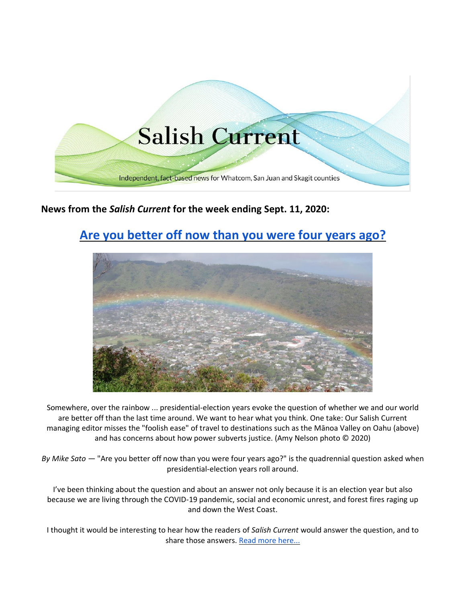

# **News from the** *Salish Current* **for the week ending Sept. 11, 2020:**

# **[Are you better off now than you were four years ago?](https://salish-current.org/2020/09/11/are-you-better-off-now-than-you-were-four-years-ago/)**



Somewhere, over the rainbow ... presidential-election years evoke the question of whether we and our world are better off than the last time around. We want to hear what you think. One take: Our Salish Current managing editor misses the "foolish ease" of travel to destinations such as the Mānoa Valley on Oahu (above) and has concerns about how power subverts justice. (Amy Nelson photo © 2020)

*By Mike Sato —* "Are you better off now than you were four years ago?" is the quadrennial question asked when presidential-election years roll around.

I've been thinking about the question and about an answer not only because it is an election year but also because we are living through the COVID-19 pandemic, social and economic unrest, and forest fires raging up and down the West Coast.

I thought it would be interesting to hear how the readers of *Salish Current* would answer the question, and to share those answers. [Read more here...](https://salish-current.org/2020/09/11/are-you-better-off-now-than-you-were-four-years-ago/)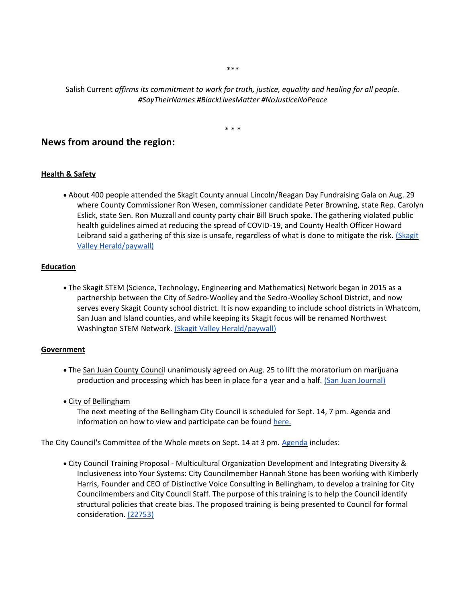\*\*\*

Salish Current *affirms its commitment to work for truth, justice, equality and healing for all people. #SayTheirNames #BlackLivesMatter #NoJusticeNoPeace*

\* \* \*

## **News from around the region:**

#### **Health & Safety**

• About 400 people attended the Skagit County annual Lincoln/Reagan Day Fundraising Gala on Aug. 29 where County Commissioner Ron Wesen, commissioner candidate Peter Browning, state Rep. Carolyn Eslick, state Sen. Ron Muzzall and county party chair Bill Bruch spoke. The gathering violated public health guidelines aimed at reducing the spread of COVID-19, and County Health Officer Howard Leibrand said a gathering of this size is unsafe, regardless of what is done to mitigate the risk. [\(Skagit](https://www.goskagit.com/news/local_news/republican-fundraiser-draws-400/article_9ac5306b-2bde-5976-8f21-edae481bfde4.html)  [Valley Herald/paywall\)](https://www.goskagit.com/news/local_news/republican-fundraiser-draws-400/article_9ac5306b-2bde-5976-8f21-edae481bfde4.html)

#### **Education**

• The Skagit STEM (Science, Technology, Engineering and Mathematics) Network began in 2015 as a partnership between the City of Sedro-Woolley and the Sedro-Woolley School District, and now serves every Skagit County school district. It is now expanding to include school districts in Whatcom, San Juan and Island counties, and while keeping its Skagit focus will be renamed Northwest Washington STEM Network. [\(Skagit Valley Herald/paywall\)](https://www.goskagit.com/news/local_news/stem-program-expands/article_2071de5c-361f-578b-9400-019126e09db4.html)

#### **Government**

- The San Juan County Council unanimously agreed on Aug. 25 to lift the moratorium on marijuana production and processing which has been in place for a year and a half. [\(San Juan Journal\)](https://www.sanjuanjournal.com/news/san-juan-county-adopts-changes-to-marijuana-ordinance/)
- City of Bellingham

The next meeting of the Bellingham City Council is scheduled for Sept. 14, 7 pm. Agenda and information on how to view and participate can be found [here.](https://meetings.cob.org/Documents/ViewDocument/City_Council_Regular_Meeting_2288_Agenda_9_14_2020_7_00_00_PM.pdf?meetingId=2288&documentType=Agenda&itemId=undefined&publishId=undefined&isSection=false)

The City Council's Committee of the Whole meets on Sept. 14 at 3 pm. [Agenda](https://meetings.cob.org/Meetings/ViewMeeting?id=2318&doctype=1) includes:

• City Council Training Proposal - Multicultural Organization Development and Integrating Diversity & Inclusiveness into Your Systems: City Councilmember Hannah Stone has been working with Kimberly Harris, Founder and CEO of Distinctive Voice Consulting in Bellingham, to develop a training for City Councilmembers and City Council Staff. The purpose of this training is to help the Council identify structural policies that create bias. The proposed training is being presented to Council for formal consideration. [\(22753\)](https://meetings.cob.org/Documents/ViewDocument/Agenda%20Bill%2022753.pdf?meetingId=2318&documentType=Agenda&itemId=15962&publishId=17255&isSection=false)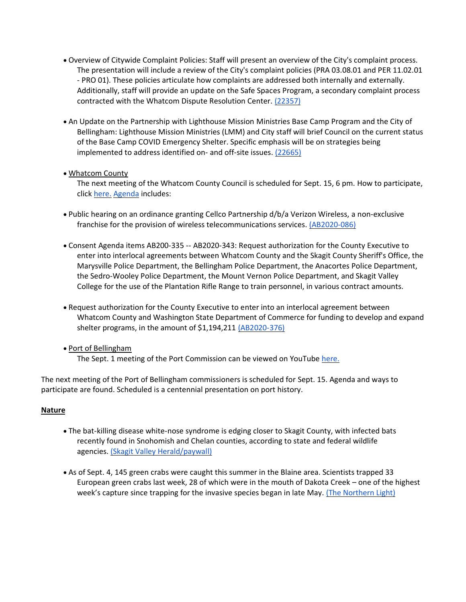- Overview of Citywide Complaint Policies: Staff will present an overview of the City's complaint process. The presentation will include a review of the City's complaint policies (PRA 03.08.01 and PER 11.02.01 - PRO 01). These policies articulate how complaints are addressed both internally and externally. Additionally, staff will provide an update on the Safe Spaces Program, a secondary complaint process contracted with the Whatcom Dispute Resolution Center. [\(22357\)](https://meetings.cob.org/Documents/ViewDocument/Agenda%20Bill%2022357.pdf?meetingId=2318&documentType=Agenda&itemId=15956&publishId=17258&isSection=false)
- An Update on the Partnership with Lighthouse Mission Ministries Base Camp Program and the City of Bellingham: Lighthouse Mission Ministries (LMM) and City staff will brief Council on the current status of the Base Camp COVID Emergency Shelter. Specific emphasis will be on strategies being implemented to address identified on- and off-site issues. [\(22665\)](https://meetings.cob.org/Documents/ViewDocument/Agenda%20Bill%2022665.pdf?meetingId=2318&documentType=Agenda&itemId=15933&publishId=17266&isSection=false)

### • Whatcom County

The next meeting of the Whatcom County Council is scheduled for Sept. 15, 6 pm. How to participate, click [here.](http://www.whatcomcounty.us/3415/Participate-in-Virtual-Council-Meetings) [Agenda](https://whatcom.legistar.com/View.ashx?M=A&ID=735033&GUID=9B33ADCB-3FB2-4C89-9A2A-ABF3EA7C4A3F) includes:

- Public hearing on an ordinance granting Cellco Partnership d/b/a Verizon Wireless, a non-exclusive franchise for the provision of wireless telecommunications services. [\(AB2020-086\)](https://whatcom.legistar.com/View.ashx?M=F&ID=8081102&GUID=94AEF519-07CB-484B-8F7C-F9E785500206)
- Consent Agenda items AB200-335 -- AB2020-343: Request authorization for the County Executive to enter into interlocal agreements between Whatcom County and the Skagit County Sheriff's Office, the Marysville Police Department, the Bellingham Police Department, the Anacortes Police Department, the Sedro-Wooley Police Department, the Mount Vernon Police Department, and Skagit Valley College for the use of the Plantation Rifle Range to train personnel, in various contract amounts.
- Request authorization for the County Executive to enter into an interlocal agreement between Whatcom County and Washington State Department of Commerce for funding to develop and expand shelter programs, in the amount of \$1,194,211 [\(AB2020-376\)](https://whatcom.legistar.com/View.ashx?M=F&ID=8774081&GUID=14052FB8-B779-48F5-B3E3-4C3CB50A7372)
- Port of Bellingham

The Sept. 1 meeting of the Port Commission can be viewed on YouTube [here.](https://www.youtube.com/watch?v=ZmWGx4CqpUw)

The next meeting of the Port of Bellingham commissioners is scheduled for Sept. 15. Agenda and ways to participate are found. Scheduled is a centennial presentation on port history.

#### **Nature**

- The bat-killing disease white-nose syndrome is edging closer to Skagit County, with infected bats recently found in Snohomish and Chelan counties, according to state and federal wildlife agencies. [\(Skagit Valley Herald/paywall\)](https://www.goskagit.com/news/local_news/bat-disease-edges-closer-to-skagit-county/article_8129fe91-ac2c-5d29-b6eb-ea81ad83aeee.html)
- As of Sept. 4, 145 green crabs were caught this summer in the Blaine area. Scientists trapped 33 European green crabs last week, 28 of which were in the mouth of Dakota Creek – one of the highest week's capture since trapping for the invasive species began in late May. [\(The Northern Light\)](https://www.thenorthernlight.com/stories/145-invasive-european-green-crabs-caught-in-drayton-harbor,11435)